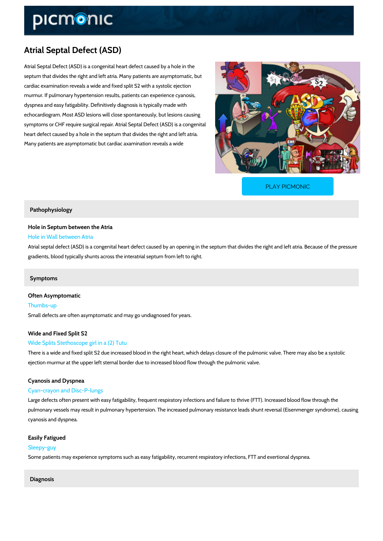# Atrial Septal Defect (ASD)

Atrial Septal Defect (ASD) is a congenital heart defect caused by a hole in the septum that divides the right and left atria. Many patients are asymptomatic, but cardiac examination reveals a wide and fixed split S2 with a systolic ejection murmur. If pulmonary hypertension results, patients can experience cyanosis, dyspnea and easy fatigability. Definitively diagnosis is typically made with echocardiogram. Most ASD lesions will close spontaneously, but lesions causing symptoms or CHF require surgical repair. Atrial Septal Defect (ASD) is a congenital heart defect caused by a hole in the septum that divides the right and left atria. Many patients are asymptomatic but cardiac axamination reveals a wide

[PLAY PICMONIC](https://www.picmonic.com/learn/atrial-septal-defect-asd_2474?utm_source=downloadable_content&utm_medium=distributedcontent&utm_campaign=pathways_pdf&utm_content=Atrial Septal Defect (ASD)&utm_ad_group=leads&utm_market=all)

## Pathophysiology

Hole in Septum between the Atria Hole in Wall between Atria

Atrial septal defect (ASD) is a congenital heart defect caused by an opening in the septum that gradients, blood typically shunts across the interatrial septum from left to right.

## Symptoms

Often Asymptomatic Thumbs-up Small defects are often asymptomatic and may go undiagnosed for years.

Wide and Fixed Split S2

## Wide Splits Stethoscope girl in a (2) Tutu

There is a wide and fixed split S2 due increased blood in the right heart, which delays closur ejection murmur at the upper left sternal border due to increased blood flow through the pulm

## Cyanosis and Dyspnea

## Cyan-crayon and Disc-P-lungs

Large defects often present with easy fatigability, frequent respiratory infections and failure pulmonary vessels may result in pulmonary hypertension. The increased pulmonary resistance cyanosis and dyspnea.

Easily Fatigued Sleepy-guy Some patients may experience symptoms such as easy fatigability, recurrent respiratory infec

Diagnosis